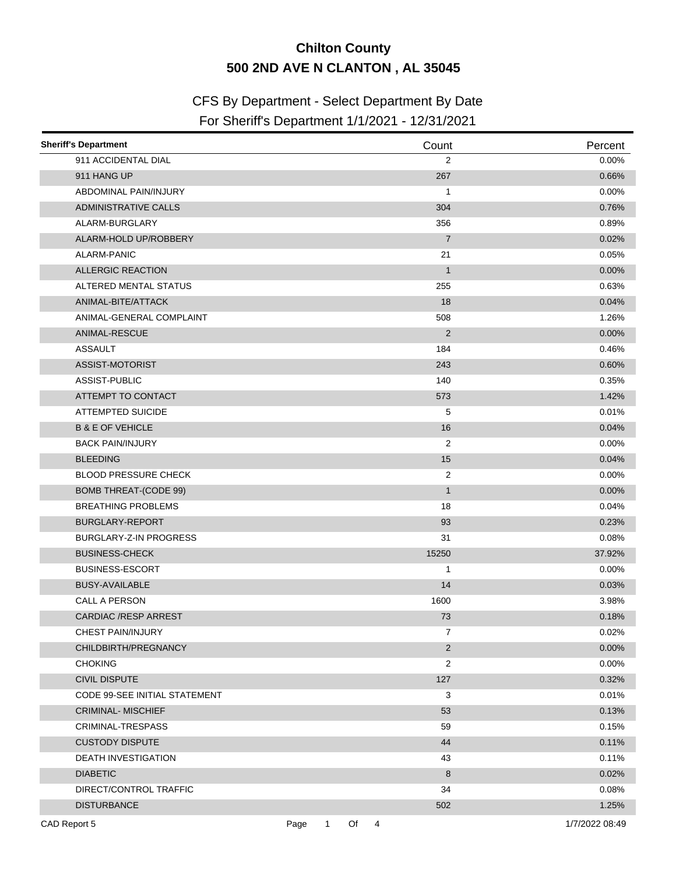## **Chilton County 500 2ND AVE N CLANTON , AL 35045**

## CFS By Department - Select Department By Date

## For Sheriff's Department 1/1/2021 - 12/31/2021

| <b>Sheriff's Department</b>   | Count                           | Percent        |
|-------------------------------|---------------------------------|----------------|
| 911 ACCIDENTAL DIAL           | $\overline{2}$                  | $0.00\%$       |
| 911 HANG UP                   | 267                             | 0.66%          |
| ABDOMINAL PAIN/INJURY         | 1                               | 0.00%          |
| <b>ADMINISTRATIVE CALLS</b>   | 304                             | 0.76%          |
| ALARM-BURGLARY                | 356                             | 0.89%          |
| ALARM-HOLD UP/ROBBERY         | $\overline{7}$                  | 0.02%          |
| ALARM-PANIC                   | 21                              | 0.05%          |
| <b>ALLERGIC REACTION</b>      | $\mathbf{1}$                    | 0.00%          |
| ALTERED MENTAL STATUS         | 255                             | 0.63%          |
| ANIMAL-BITE/ATTACK            | 18                              | 0.04%          |
| ANIMAL-GENERAL COMPLAINT      | 508                             | 1.26%          |
| ANIMAL-RESCUE                 | 2                               | 0.00%          |
| <b>ASSAULT</b>                | 184                             | 0.46%          |
| ASSIST-MOTORIST               | 243                             | 0.60%          |
| ASSIST-PUBLIC                 | 140                             | 0.35%          |
| ATTEMPT TO CONTACT            | 573                             | 1.42%          |
| <b>ATTEMPTED SUICIDE</b>      | 5                               | 0.01%          |
| <b>B &amp; E OF VEHICLE</b>   | 16                              | 0.04%          |
| <b>BACK PAIN/INJURY</b>       | $\overline{2}$                  | $0.00\%$       |
| <b>BLEEDING</b>               | 15                              | 0.04%          |
| <b>BLOOD PRESSURE CHECK</b>   | 2                               | $0.00\%$       |
| <b>BOMB THREAT-(CODE 99)</b>  | $\mathbf{1}$                    | 0.00%          |
| <b>BREATHING PROBLEMS</b>     | 18                              | 0.04%          |
| BURGLARY-REPORT               | 93                              | 0.23%          |
| BURGLARY-Z-IN PROGRESS        | 31                              | 0.08%          |
| <b>BUSINESS-CHECK</b>         | 15250                           | 37.92%         |
| <b>BUSINESS-ESCORT</b>        | 1                               | $0.00\%$       |
| <b>BUSY-AVAILABLE</b>         | 14                              | 0.03%          |
| CALL A PERSON                 | 1600                            | 3.98%          |
| <b>CARDIAC /RESP ARREST</b>   | 73                              | 0.18%          |
| CHEST PAIN/INJURY             | 7                               | $0.02\%$       |
| CHILDBIRTH/PREGNANCY          | $\overline{2}$                  | 0.00%          |
| <b>CHOKING</b>                | $\overline{\mathbf{c}}$         | $0.00\%$       |
| <b>CIVIL DISPUTE</b>          | 127                             | 0.32%          |
| CODE 99-SEE INITIAL STATEMENT | 3                               | 0.01%          |
| <b>CRIMINAL-MISCHIEF</b>      | 53                              | 0.13%          |
| CRIMINAL-TRESPASS             | 59                              | 0.15%          |
| <b>CUSTODY DISPUTE</b>        | 44                              | 0.11%          |
| <b>DEATH INVESTIGATION</b>    | 43                              | 0.11%          |
| <b>DIABETIC</b>               | 8                               | 0.02%          |
| DIRECT/CONTROL TRAFFIC        | 34                              | $0.08\%$       |
| <b>DISTURBANCE</b>            | 502                             | 1.25%          |
| CAD Report 5                  | Of<br>Page<br>$\mathbf{1}$<br>4 | 1/7/2022 08:49 |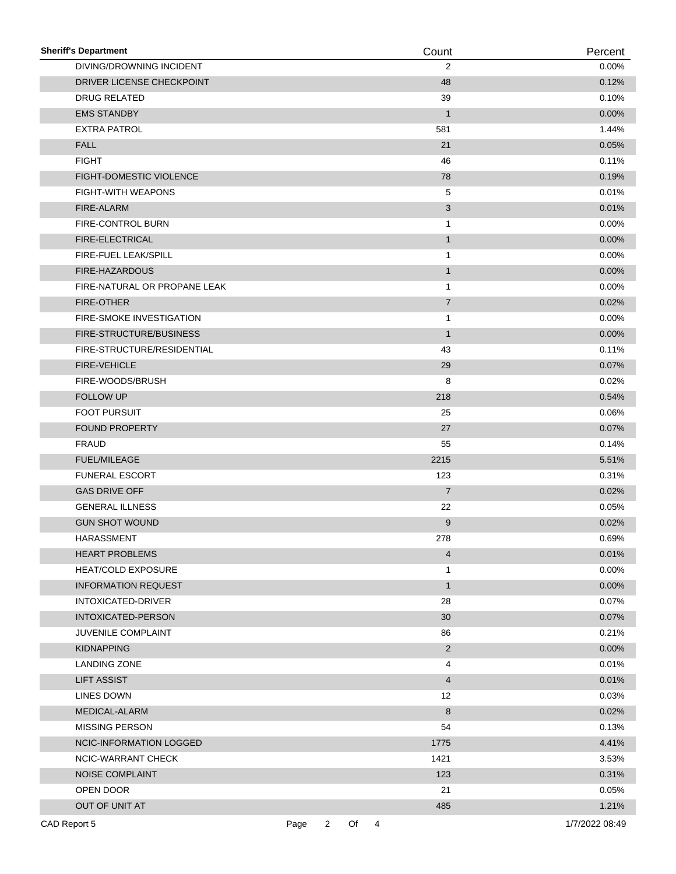| <b>Sheriff's Department</b>     |      |                |    |                | Count          | Percent        |
|---------------------------------|------|----------------|----|----------------|----------------|----------------|
| DIVING/DROWNING INCIDENT        |      |                |    |                | 2              | $0.00\%$       |
| DRIVER LICENSE CHECKPOINT       |      |                |    |                | 48             | 0.12%          |
| <b>DRUG RELATED</b>             |      |                |    |                | 39             | 0.10%          |
| <b>EMS STANDBY</b>              |      |                |    |                | $\mathbf{1}$   | 0.00%          |
| <b>EXTRA PATROL</b>             |      |                |    |                | 581            | 1.44%          |
| <b>FALL</b>                     |      |                |    |                | 21             | 0.05%          |
| <b>FIGHT</b>                    |      |                |    |                | 46             | 0.11%          |
| FIGHT-DOMESTIC VIOLENCE         |      |                |    |                | 78             | 0.19%          |
| <b>FIGHT-WITH WEAPONS</b>       |      |                |    |                | 5              | 0.01%          |
| FIRE-ALARM                      |      |                |    |                | 3              | 0.01%          |
| FIRE-CONTROL BURN               |      |                |    |                | $\mathbf{1}$   | 0.00%          |
| FIRE-ELECTRICAL                 |      |                |    |                | $\mathbf{1}$   | $0.00\%$       |
| FIRE-FUEL LEAK/SPILL            |      |                |    |                | 1              | $0.00\%$       |
| FIRE-HAZARDOUS                  |      |                |    |                | $\mathbf{1}$   | 0.00%          |
| FIRE-NATURAL OR PROPANE LEAK    |      |                |    |                | $\mathbf{1}$   | 0.00%          |
| <b>FIRE-OTHER</b>               |      |                |    |                | $\overline{7}$ | 0.02%          |
| <b>FIRE-SMOKE INVESTIGATION</b> |      |                |    |                | 1              | 0.00%          |
| FIRE-STRUCTURE/BUSINESS         |      |                |    |                | $\mathbf{1}$   | 0.00%          |
| FIRE-STRUCTURE/RESIDENTIAL      |      |                |    |                | 43             | 0.11%          |
| <b>FIRE-VEHICLE</b>             |      |                |    |                | 29             | 0.07%          |
| FIRE-WOODS/BRUSH                |      |                |    |                | 8              | 0.02%          |
| <b>FOLLOW UP</b>                |      |                |    |                | 218            | 0.54%          |
| FOOT PURSUIT                    |      |                |    |                | 25             | 0.06%          |
| <b>FOUND PROPERTY</b>           |      |                |    |                | 27             | 0.07%          |
| <b>FRAUD</b>                    |      |                |    |                | 55             | 0.14%          |
| <b>FUEL/MILEAGE</b>             |      |                |    |                | 2215           | 5.51%          |
| <b>FUNERAL ESCORT</b>           |      |                |    |                | 123            | 0.31%          |
| <b>GAS DRIVE OFF</b>            |      |                |    |                | $\overline{7}$ | 0.02%          |
| <b>GENERAL ILLNESS</b>          |      |                |    |                | 22             | 0.05%          |
| <b>GUN SHOT WOUND</b>           |      |                |    |                | 9              | 0.02%          |
| HARASSMENT                      |      |                |    |                | 278            | 0.69%          |
| <b>HEART PROBLEMS</b>           |      |                |    |                | 4              | 0.01%          |
| <b>HEAT/COLD EXPOSURE</b>       |      |                |    |                | 1              | 0.00%          |
| <b>INFORMATION REQUEST</b>      |      |                |    |                | $\mathbf{1}$   | 0.00%          |
| INTOXICATED-DRIVER              |      |                |    |                | 28             | 0.07%          |
| INTOXICATED-PERSON              |      |                |    |                | 30             | 0.07%          |
| JUVENILE COMPLAINT              |      |                |    |                | 86             | 0.21%          |
| <b>KIDNAPPING</b>               |      |                |    |                | $\overline{c}$ | 0.00%          |
| <b>LANDING ZONE</b>             |      |                |    |                | 4              | 0.01%          |
| <b>LIFT ASSIST</b>              |      |                |    |                | $\overline{4}$ | 0.01%          |
| LINES DOWN                      |      |                |    |                | 12             | 0.03%          |
| MEDICAL-ALARM                   |      |                |    |                | 8              | 0.02%          |
| MISSING PERSON                  |      |                |    |                | 54             | 0.13%          |
| NCIC-INFORMATION LOGGED         |      |                |    |                | 1775           | 4.41%          |
| NCIC-WARRANT CHECK              |      |                |    |                | 1421           | 3.53%          |
| <b>NOISE COMPLAINT</b>          |      |                |    |                | 123            | 0.31%          |
| OPEN DOOR                       |      |                |    |                | 21             | 0.05%          |
| OUT OF UNIT AT                  |      |                |    |                | 485            | 1.21%          |
|                                 |      |                |    |                |                |                |
| CAD Report 5                    | Page | $\overline{2}$ | Of | $\overline{4}$ |                | 1/7/2022 08:49 |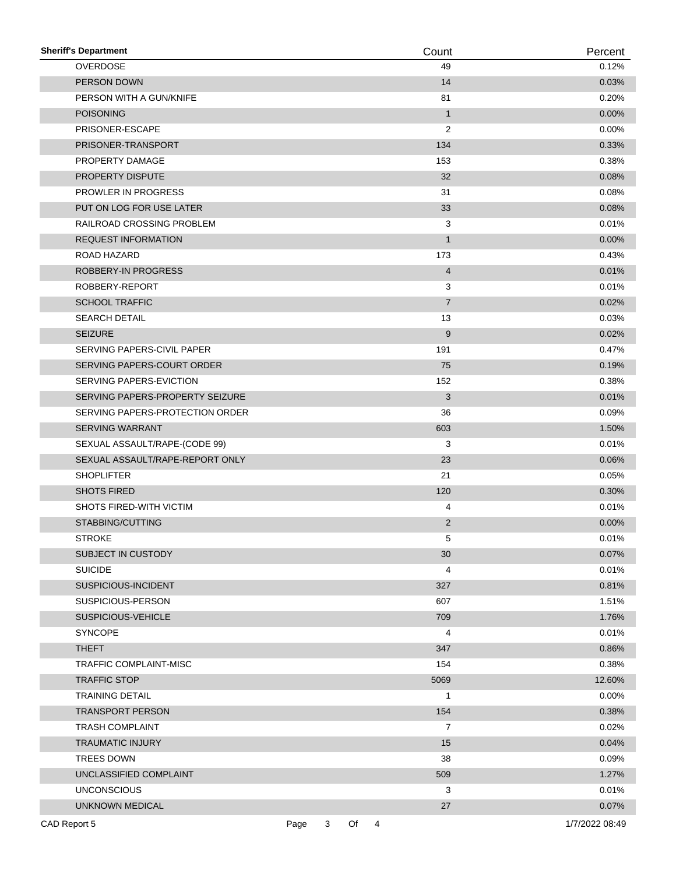| <b>Sheriff's Department</b>     |      |   |    | Count |                | Percent        |
|---------------------------------|------|---|----|-------|----------------|----------------|
| OVERDOSE                        |      |   |    | 49    |                | 0.12%          |
| PERSON DOWN                     |      |   |    | 14    |                | 0.03%          |
| PERSON WITH A GUN/KNIFE         |      |   |    | 81    |                | 0.20%          |
| <b>POISONING</b>                |      |   |    |       | $\mathbf{1}$   | $0.00\%$       |
| PRISONER-ESCAPE                 |      |   |    |       | 2              | $0.00\%$       |
| PRISONER-TRANSPORT              |      |   |    | 134   |                | 0.33%          |
| PROPERTY DAMAGE                 |      |   |    | 153   |                | 0.38%          |
| PROPERTY DISPUTE                |      |   |    | 32    |                | 0.08%          |
| <b>PROWLER IN PROGRESS</b>      |      |   |    | 31    |                | 0.08%          |
| PUT ON LOG FOR USE LATER        |      |   |    | 33    |                | 0.08%          |
| RAILROAD CROSSING PROBLEM       |      |   |    |       | 3              | 0.01%          |
| <b>REQUEST INFORMATION</b>      |      |   |    |       | $\mathbf{1}$   | $0.00\%$       |
| ROAD HAZARD                     |      |   |    | 173   |                | 0.43%          |
| ROBBERY-IN PROGRESS             |      |   |    |       | 4              | 0.01%          |
| ROBBERY-REPORT                  |      |   |    |       | 3              | 0.01%          |
| <b>SCHOOL TRAFFIC</b>           |      |   |    |       | $\overline{7}$ | 0.02%          |
| <b>SEARCH DETAIL</b>            |      |   |    | 13    |                | 0.03%          |
| <b>SEIZURE</b>                  |      |   |    |       | 9              | 0.02%          |
| SERVING PAPERS-CIVIL PAPER      |      |   |    | 191   |                | 0.47%          |
| SERVING PAPERS-COURT ORDER      |      |   |    | 75    |                | 0.19%          |
| SERVING PAPERS-EVICTION         |      |   |    | 152   |                | 0.38%          |
| SERVING PAPERS-PROPERTY SEIZURE |      |   |    |       | 3              | 0.01%          |
| SERVING PAPERS-PROTECTION ORDER |      |   |    | 36    |                | 0.09%          |
| SERVING WARRANT                 |      |   |    | 603   |                | 1.50%          |
| SEXUAL ASSAULT/RAPE-(CODE 99)   |      |   |    |       | 3              | 0.01%          |
| SEXUAL ASSAULT/RAPE-REPORT ONLY |      |   |    | 23    |                | 0.06%          |
| <b>SHOPLIFTER</b>               |      |   |    | 21    |                | 0.05%          |
| <b>SHOTS FIRED</b>              |      |   |    | 120   |                | 0.30%          |
| SHOTS FIRED-WITH VICTIM         |      |   |    |       | 4              | 0.01%          |
| STABBING/CUTTING                |      |   |    |       | 2              | 0.00%          |
| <b>STROKE</b>                   |      |   |    |       | 5              | 0.01%          |
| SUBJECT IN CUSTODY              |      |   |    | 30    |                | 0.07%          |
| <b>SUICIDE</b>                  |      |   |    |       | 4              | 0.01%          |
| SUSPICIOUS-INCIDENT             |      |   |    | 327   |                | 0.81%          |
| SUSPICIOUS-PERSON               |      |   |    | 607   |                | 1.51%          |
| SUSPICIOUS-VEHICLE              |      |   |    | 709   |                | 1.76%          |
| <b>SYNCOPE</b>                  |      |   |    |       | 4              | 0.01%          |
| <b>THEFT</b>                    |      |   |    | 347   |                | 0.86%          |
| TRAFFIC COMPLAINT-MISC          |      |   |    | 154   |                | 0.38%          |
| <b>TRAFFIC STOP</b>             |      |   |    | 5069  |                | 12.60%         |
| <b>TRAINING DETAIL</b>          |      |   |    |       | 1              | 0.00%          |
| TRANSPORT PERSON                |      |   |    | 154   |                | 0.38%          |
| <b>TRASH COMPLAINT</b>          |      |   |    |       | 7              | 0.02%          |
| <b>TRAUMATIC INJURY</b>         |      |   |    | 15    |                | 0.04%          |
| TREES DOWN                      |      |   |    | 38    |                | 0.09%          |
| UNCLASSIFIED COMPLAINT          |      |   |    | 509   |                | 1.27%          |
| <b>UNCONSCIOUS</b>              |      |   |    |       | 3              | 0.01%          |
| UNKNOWN MEDICAL                 |      |   |    | 27    |                | 0.07%          |
| CAD Report 5                    | Page | 3 | Of | 4     |                | 1/7/2022 08:49 |